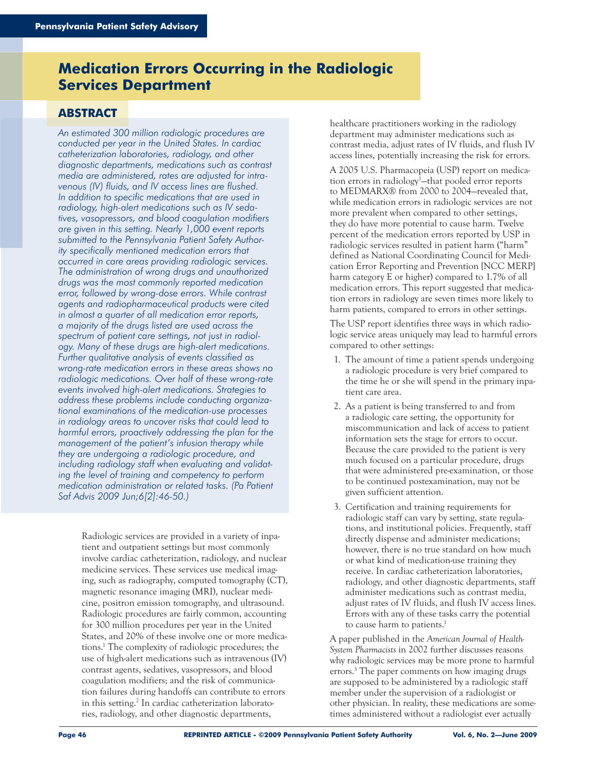# **Medication Errors Occurring in the Radiologic Services Department**

## **ABSTRACT**

*An estimated 300 million radiologic procedures are conducted per year in the United States. In cardiac catheterization laboratories, radiology, and other diagnostic departments, medications such as contrast media are administered, rates are adjusted for intravenous (IV) fluids, and IV access lines are flushed. In addition to specific medications that are used in radiology, high-alert medications such as IV sedatives, vasopressors, and blood coagulation modifiers are given in this setting. Nearly 1,000 event reports submitted to the Pennsylvania Patient Safety Authority specifically mentioned medication errors that occurred in care areas providing radiologic services. The administration of wrong drugs and unauthorized drugs was the most commonly reported medication error, followed by wrong-dose errors. While contrast agents and radiopharmaceutical products were cited in almost a quarter of all medication error reports, a majority of the drugs listed are used across the spectrum of patient care settings, not just in radiology. Many of these drugs are high-alert medications. Further qualitative analysis of events classified as wrong-rate medication errors in these areas shows no radiologic medications. Over half of these wrong-rate events involved high-alert medications. Strategies to address these problems include conducting organizational examinations of the medication-use processes in radiology areas to uncover risks that could lead to harmful errors, proactively addressing the plan for the management of the patient's infusion therapy while they are undergoing a radiologic procedure, and including radiology staff when evaluating and validating the level of training and competency to perform medication administration or related tasks. (Pa Patient Saf Advis 2009 Jun;6[2]:46-50.)*

> Radiologic services are provided in a variety of inpatient and outpatient settings but most commonly involve cardiac catheterization, radiology, and nuclear medicine services. These services use medical imaging, such as radiography, computed tomography (CT), magnetic resonance imaging (MRI), nuclear medicine, positron emission tomography, and ultrasound. Radiologic procedures are fairly common, accounting for 300 million procedures per year in the United States, and 20% of these involve one or more medications.<sup>1</sup> The complexity of radiologic procedures; the use of high-alert medications such as intravenous (IV) contrast agents, sedatives, vasopressors, and blood coagulation modifiers; and the risk of communication failures during handoffs can contribute to errors in this setting.<sup>2</sup> In cardiac catheterization laboratories, radiology, and other diagnostic departments,

healthcare practitioners working in the radiology department may administer medications such as contrast media, adjust rates of IV fluids, and flush IV access lines, potentially increasing the risk for errors.

A 2005 U.S. Pharmacopeia (USP) report on medication errors in radiology1 —that pooled error reports to MEDMARX® from 2000 to 2004—revealed that, while medication errors in radiologic services are not more prevalent when compared to other settings, they do have more potential to cause harm. Twelve percent of the medication errors reported by USP in radiologic services resulted in patient harm ("harm" defined as National Coordinating Council for Medication Error Reporting and Prevention [NCC MERP] harm category E or higher) compared to 1.7% of all medication errors. This report suggested that medication errors in radiology are seven times more likely to harm patients, compared to errors in other settings.

The USP report identifies three ways in which radiologic service areas uniquely may lead to harmful errors compared to other settings:

- 1. The amount of time a patient spends undergoing a radiologic procedure is very brief compared to the time he or she will spend in the primary inpatient care area.
- 2. As a patient is being transferred to and from a radiologic care setting, the opportunity for miscommunication and lack of access to patient information sets the stage for errors to occur. Because the care provided to the patient is very much focused on a particular procedure, drugs that were administered pre-examination, or those to be continued postexamination, may not be given sufficient attention.
- 3. Certification and training requirements for radiologic staff can vary by setting, state regulations, and institutional policies. Frequently, staff directly dispense and administer medications; however, there is no true standard on how much or what kind of medication-use training they receive. In cardiac catheterization laboratories, radiology, and other diagnostic departments, staff administer medications such as contrast media, adjust rates of IV fluids, and flush IV access lines. Errors with any of these tasks carry the potential to cause harm to patients.<sup>1</sup>

A paper published in the *American Journal of Health-System Pharmacists* in 2002 further discusses reasons why radiologic services may be more prone to harmful errors.3 The paper comments on how imaging drugs are supposed to be administered by a radiologic staff member under the supervision of a radiologist or other physician. In reality, these medications are sometimes administered without a radiologist ever actually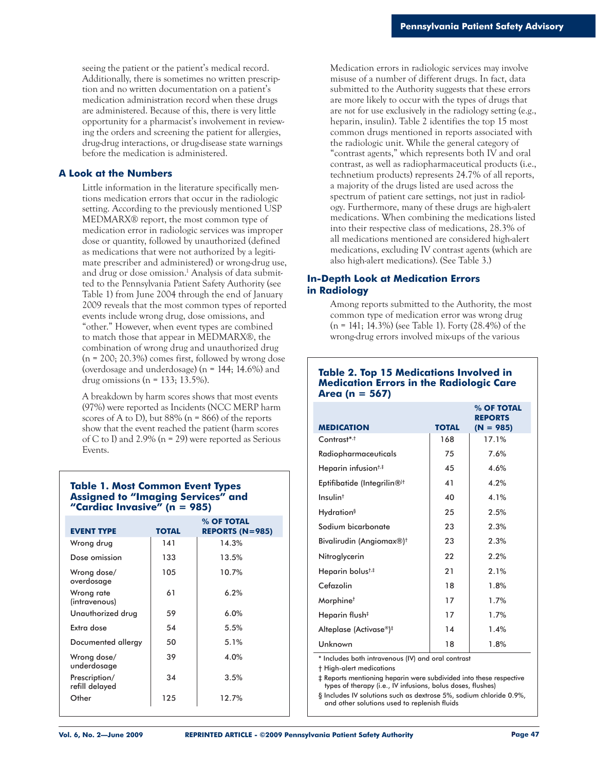seeing the patient or the patient's medical record. Additionally, there is sometimes no written prescription and no written documentation on a patient's medication administration record when these drugs are administered. Because of this, there is very little opportunity for a pharmacist's involvement in reviewing the orders and screening the patient for allergies, drug-drug interactions, or drug-disease state warnings before the medication is administered.

#### **A Look at the Numbers**

Little information in the literature specifically mentions medication errors that occur in the radiologic setting. According to the previously mentioned USP MEDMARX® report, the most common type of medication error in radiologic services was improper dose or quantity, followed by unauthorized (defined as medications that were not authorized by a legitimate prescriber and administered) or wrong-drug use, and drug or dose omission.1 Analysis of data submitted to the Pennsylvania Patient Safety Authority (see Table 1) from June 2004 through the end of January 2009 reveals that the most common types of reported events include wrong drug, dose omissions, and "other." However, when event types are combined to match those that appear in MEDMARX®, the combination of wrong drug and unauthorized drug  $(n = 200; 20.3%)$  comes first, followed by wrong dose (overdosage and underdosage) (n = 144; 14.6%) and drug omissions ( $n = 133$ ; 13.5%).

A breakdown by harm scores shows that most events (97%) were reported as Incidents (NCC MERP harm scores of A to D), but  $88\%$  (n = 866) of the reports show that the event reached the patient (harm scores of C to I) and 2.9% (n = 29) were reported as Serious Events.

#### **Table 1. Most Common Event Types Assigned to "Imaging Services" and "Cardiac Invasive" (n = 985)**

| <b>EVENT TYPE</b>               | <b>TOTAL</b> | % OF TOTAL<br><b>REPORTS (N=985)</b> |
|---------------------------------|--------------|--------------------------------------|
| Wrong drug                      | 141          | 14.3%                                |
| Dose omission                   | 133          | 13.5%                                |
| Wrong dose/<br>overdosage       | 105          | 10.7%                                |
| Wrong rate<br>(intravenous)     | 61           | 6.2%                                 |
| Unauthorized drug               | 59           | 6.0%                                 |
| Extra dose                      | 54           | 5.5%                                 |
| Documented allergy              | 50           | 5.1%                                 |
| Wrong dose/<br>underdosage      | 39           | 4.0%                                 |
| Prescription/<br>refill delayed | 34           | 3.5%                                 |
| Other                           | 125          | 12.7%                                |

Medication errors in radiologic services may involve misuse of a number of different drugs. In fact, data submitted to the Authority suggests that these errors are more likely to occur with the types of drugs that are *not* for use exclusively in the radiology setting (e.g., heparin, insulin). Table 2 identifies the top 15 most common drugs mentioned in reports associated with the radiologic unit. While the general category of "contrast agents," which represents both IV and oral contrast, as well as radiopharmaceutical products (i.e., technetium products) represents 24.7% of all reports, a majority of the drugs listed are used across the spectrum of patient care settings, not just in radiology. Furthermore, many of these drugs are high-alert medications. When combining the medications listed into their respective class of medications, 28.3% of all medications mentioned are considered high-alert medications, excluding IV contrast agents (which are also high-alert medications). (See Table 3.)

### **In-Depth Look at Medication Errors in Radiology**

Among reports submitted to the Authority, the most common type of medication error was wrong drug (n = 141; 14.3%) (see Table 1). Forty (28.4%) of the wrong-drug errors involved mix-ups of the various

#### **Table 2. Top 15 Medications Involved in Medication Errors in the Radiologic Care Area (n = 567)**

| <b>MEDICATION</b>                       | <b>TOTAL</b> | % OF TOTAL<br><b>REPORTS</b><br>$(N = 985)$ |
|-----------------------------------------|--------------|---------------------------------------------|
| $Contrast^{*,+}$                        | 168          | 17.1%                                       |
| Radiopharmaceuticals                    | 75           | 7.6%                                        |
| Heparin infusion <sup>†,‡</sup>         | 45           | 4.6%                                        |
| Eptifibatide (Integrilin® <sup>)†</sup> | 41           | 4.2%                                        |
| Insulin <sup>t</sup>                    | 40           | 4.1%                                        |
| <b>Hydration</b> <sup>§</sup>           | 25           | 2.5%                                        |
| Sodium bicarbonate                      | 23           | 2.3%                                        |
| Bivalirudin (Angiomax®) <sup>†</sup>    | 23           | 2.3%                                        |
| Nitroglycerin                           | 22           | 2.2%                                        |
| Heparin bolust#                         | 21           | 2.1%                                        |
| Cefazolin                               | 18           | 1.8%                                        |
| Morphine <sup>†</sup>                   | 17           | 1.7%                                        |
| Heparin flush <sup>‡</sup>              | 17           | 1.7%                                        |
| Alteplase (Activase®)‡                  | 14           | 1.4%                                        |
| Unknown                                 | 18           | 1.8%                                        |

\* Includes both intravenous (IV) and oral contrast

† High-alert medications

‡ Reports mentioning heparin were subdivided into these respective types of therapy (i.e., IV infusions, bolus doses, flushes)

§ Includes IV solutions such as dextrose 5%, sodium chloride 0.9%, and other solutions used to replenish fluids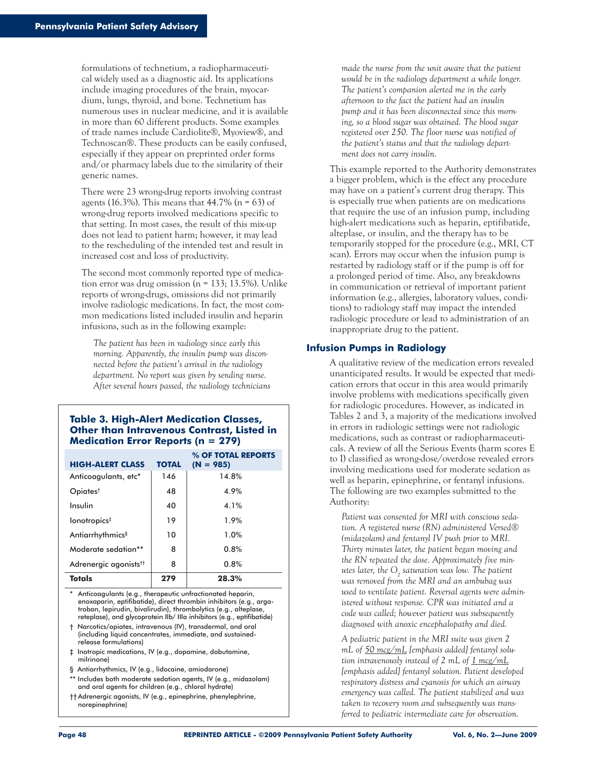formulations of technetium, a radiopharmaceutical widely used as a diagnostic aid. Its applications include imaging procedures of the brain, myocardium, lungs, thyroid, and bone. Technetium has numerous uses in nuclear medicine, and it is available in more than 60 different products. Some examples of trade names include Cardiolite®, Myoview®, and Technoscan®. These products can be easily confused, especially if they appear on preprinted order forms and/or pharmacy labels due to the similarity of their generic names.

There were 23 wrong-drug reports involving contrast agents (16.3%). This means that  $44.7\%$  (n = 63) of wrong-drug reports involved medications specific to that setting. In most cases, the result of this mix-up does not lead to patient harm; however, it may lead to the rescheduling of the intended test and result in increased cost and loss of productivity.

The second most commonly reported type of medication error was drug omission ( $n = 133$ ; 13.5%). Unlike reports of wrong-drugs, omissions did not primarily involve radiologic medications. In fact, the most common medications listed included insulin and heparin infusions, such as in the following example:

*The patient has been in radiology since early this morning. Apparently, the insulin pump was disconnected before the patient's arrival in the radiology department. No report was given by sending nurse. After several hours passed, the radiology technicians* 

#### **Table 3. High-Alert Medication Classes, Other than Intravenous Contrast, Listed in Medication Error Reports (n = 279)**

| <b>HIGH-ALERT CLASS</b>           | <b>TOTAL</b> | % OF TOTAL REPORTS<br>$(N = 985)$ |
|-----------------------------------|--------------|-----------------------------------|
| Anticoagulants, etc*              | 146          | 14.8%                             |
| Opiates <sup>†</sup>              | 48           | 4.9%                              |
| Insulin                           | 40           | 4.1%                              |
| lonotropics <sup>‡</sup>          | 19           | 1.9%                              |
| Antiarrhythmics <sup>§</sup>      | 10           | 1.0%                              |
| Moderate sedation**               | 8            | 0.8%                              |
| Adrenergic agonists <sup>tt</sup> | 8            | 0.8%                              |
| <b>Totals</b>                     | 279          | 28.3%                             |

\* Anticoagulants (e.g., therapeutic unfractionated heparin, enoxaparin, eptifibatide), direct thrombin inhibitors (e.g., arga troban, lepirudin, bivalirudin), thrombolytics (e.g., alteplase, reteplase), and glycoprotein IIb/ IIIa inhibitors (e.g., eptifibatide)

† Narcotics/opiates, intravenous (IV), transdermal, and oral (including liquid concentrates, immediate, and sustained release formulations)

- ‡ Inotropic medications, IV (e.g., dopamine, dobutamine, milrinone)
- § Antiarrhythmics, IV (e.g., lidocaine, amiodarone)
- \*\* Includes both moderate sedation agents, IV (e.g., midazolam) and oral agents for children (e.g., chloral hydrate)
- †† Adrenergic agonists, IV (e.g., epinephrine, phenylephrine, norepinephrine)

*made the nurse from the unit aware that the patient would be in the radiology department a while longer. The patient's companion alerted me in the early afternoon to the fact the patient had an insulin pump and it has been disconnected since this morning, so a blood sugar was obtained. The blood sugar registered over 250. The floor nurse was notified of the patient's status and that the radiology department does not carry insulin.*

This example reported to the Authority demonstrates a bigger problem, which is the effect any procedure may have on a patient's current drug therapy. This is especially true when patients are on medications that require the use of an infusion pump, including high-alert medications such as heparin, eptifibatide, alteplase, or insulin, and the therapy has to be temporarily stopped for the procedure (e.g., MRI, CT scan). Errors may occur when the infusion pump is restarted by radiology staff or if the pump is off for a prolonged period of time. Also, any breakdowns in communication or retrieval of important patient information (e.g., allergies, laboratory values, conditions) to radiology staff may impact the intended radiologic procedure or lead to administration of an inappropriate drug to the patient.

#### **Infusion Pumps in Radiology**

A qualitative review of the medication errors revealed unanticipated results. It would be expected that medication errors that occur in this area would primarily involve problems with medications specifically given for radiologic procedures. However, as indicated in Tables 2 and 3, a majority of the medications involved in errors in radiologic settings were not radiologic medications, such as contrast or radiopharmaceuticals. A review of all the Serious Events (harm scores E to I) classified as wrong-dose/overdose revealed errors involving medications used for moderate sedation as well as heparin, epinephrine, or fentanyl infusions. The following are two examples submitted to the Authority:

*Patient was consented for MRI with conscious sedation. A registered nurse (RN) administered Versed® (midazolam) and fentanyl IV push prior to MRI. Thirty minutes later, the patient began moving and the RN repeated the dose. Approximately five minutes later, the O2 saturation was low. The patient was removed from the MRI and an ambubag was used to ventilate patient. Reversal agents were administered without response. CPR was initiated and a code was called; however patient was subsequently diagnosed with anoxic encephalopathy and died.*

*A pediatric patient in the MRI suite was given 2 mL of 50 mcg/mL [emphasis added] fentanyl solution intravenously instead of 2 mL of 1 mcg/mL [emphasis added] fentanyl solution. Patient developed respiratory distress and cyanosis for which an airway emergency was called. The patient stabilized and was taken to recovery room and subsequently was transferred to pediatric intermediate care for observation.*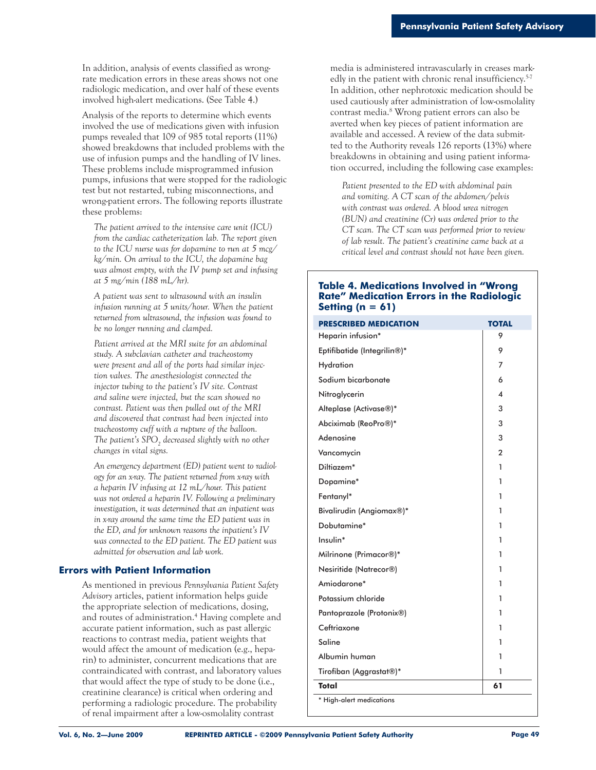In addition, analysis of events classified as wrongrate medication errors in these areas shows not one radiologic medication, and over half of these events involved high-alert medications. (See Table 4.)

Analysis of the reports to determine which events involved the use of medications given with infusion pumps revealed that 109 of 985 total reports (11%) showed breakdowns that included problems with the use of infusion pumps and the handling of IV lines. These problems include misprogrammed infusion pumps, infusions that were stopped for the radiologic test but not restarted, tubing misconnections, and wrong-patient errors. The following reports illustrate these problems:

*The patient arrived to the intensive care unit (ICU) from the cardiac catheterization lab. The report given to the ICU nurse was for dopamine to run at 5 mcg/ kg/min. On arrival to the ICU, the dopamine bag was almost empty, with the IV pump set and infusing at 5 mg/min (188 mL/hr).*

*A patient was sent to ultrasound with an insulin infusion running at 5 units/hour. When the patient returned from ultrasound, the infusion was found to be no longer running and clamped.* 

*Patient arrived at the MRI suite for an abdominal study. A subclavian catheter and tracheostomy were present and all of the ports had similar injection valves. The anesthesiologist connected the injector tubing to the patient's IV site. Contrast and saline were injected, but the scan showed no contrast. Patient was then pulled out of the MRI and discovered that contrast had been injected into tracheostomy cuff with a rupture of the balloon.*  The patient's SPO<sub>2</sub> decreased slightly with no other *changes in vital signs.* 

*An emergency department (ED) patient went to radiology for an x-ray. The patient returned from x-ray with a heparin IV infusing at 12 mL/hour. This patient was not ordered a heparin IV. Following a preliminary investigation, it was determined that an inpatient was in x-ray around the same time the ED patient was in the ED, and for unknown reasons the inpatient's IV was connected to the ED patient. The ED patient was admitted for observation and lab work.* 

#### **Errors with Patient Information**

As mentioned in previous *Pennsylvania Patient Safety Advisory* articles, patient information helps guide the appropriate selection of medications, dosing, and routes of administration.<sup>4</sup> Having complete and accurate patient information, such as past allergic reactions to contrast media, patient weights that would affect the amount of medication (e.g., heparin) to administer, concurrent medications that are contraindicated with contrast, and laboratory values that would affect the type of study to be done (i.e., creatinine clearance) is critical when ordering and performing a radiologic procedure. The probability of renal impairment after a low-osmolality contrast

media is administered intravascularly in creases markedly in the patient with chronic renal insufficiency.<sup>5-7</sup> In addition, other nephrotoxic medication should be used cautiously after administration of low-osmolality contrast media.8 Wrong patient errors can also be averted when key pieces of patient information are available and accessed. A review of the data submitted to the Authority reveals 126 reports (13%) where breakdowns in obtaining and using patient information occurred, including the following case examples:

*Patient presented to the ED with abdominal pain and vomiting. A CT scan of the abdomen/pelvis with contrast was ordered. A blood urea nitrogen (BUN) and creatinine (Cr) was ordered prior to the CT scan. The CT scan was performed prior to review of lab result. The patient's creatinine came back at a critical level and contrast should not have been given.* 

#### **Table 4. Medications Involved in "Wrong Rate" Medication Errors in the Radiologic Setting (n = 61)**

| <b>PRESCRIBED MEDICATION</b> | <b>TOTAL</b>   |
|------------------------------|----------------|
| Heparin infusion*            | 9              |
| Eptifibatide (Integrilin®)*  | 9              |
| Hydration                    | 7              |
| Sodium bicarbonate           | 6              |
| Nitroglycerin                | 4              |
| Alteplase (Activase®)*       | 3              |
| Abciximab (ReoPro®)*         | 3              |
| Adenosine                    | 3              |
| Vancomycin                   | $\overline{2}$ |
| Diltiazem*                   | 1              |
| Dopamine*                    | 1              |
| Fentanyl*                    | 1              |
| Bivalirudin (Angiomax®)*     | 1              |
| Dobutamine*                  | 1              |
| Insulin*                     | 1              |
| Milrinone (Primacor®)*       | 1              |
| Nesiritide (Natrecor®)       | 1              |
| Amiodarone*                  | 1              |
| Potassium chloride           | 1              |
| Pantoprazole (Protonix®)     | 1              |
| Ceftriaxone                  | 1              |
| Saline                       | 1              |
| Albumin human                | 1              |
| Tirofiban (Aggrastat®)*      | 1              |
| Total                        | 61             |
| * High-alert medications     |                |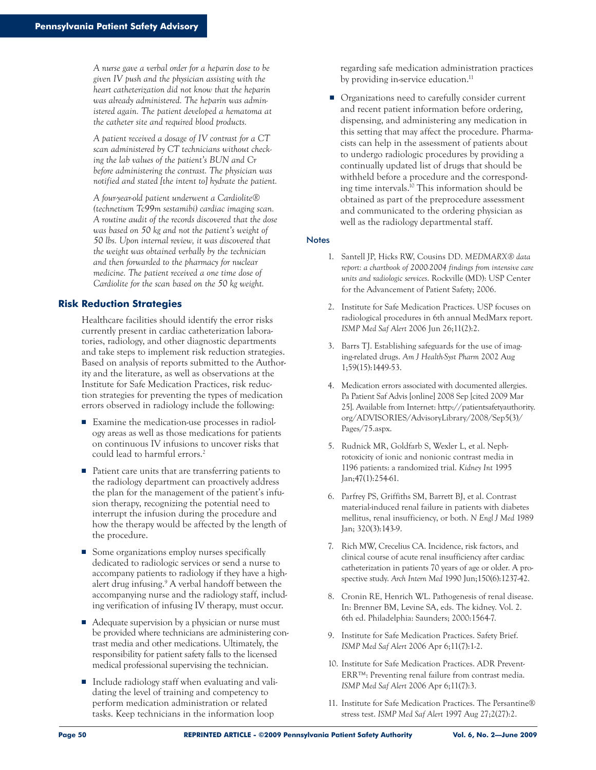*A nurse gave a verbal order for a heparin dose to be given IV push and the physician assisting with the heart catheterization did not know that the heparin was already administered. The heparin was administered again. The patient developed a hematoma at the catheter site and required blood products.*

*A patient received a dosage of IV contrast for a CT scan administered by CT technicians without checking the lab values of the patient's BUN and Cr before administering the contrast. The physician was notified and stated [the intent to] hydrate the patient.*

*A four-year-old patient underwent a Cardiolite® (technetium Tc99m sestamibi) cardiac imaging scan. A routine audit of the records discovered that the dose was based on 50 kg and not the patient's weight of 50 lbs. Upon internal review, it was discovered that the weight was obtained verbally by the technician and then forwarded to the pharmacy for nuclear medicine. The patient received a one time dose of Cardiolite for the scan based on the 50 kg weight.* 

#### **Risk Reduction Strategies**

Healthcare facilities should identify the error risks currently present in cardiac catheterization laboratories, radiology, and other diagnostic departments and take steps to implement risk reduction strategies. Based on analysis of reports submitted to the Authority and the literature, as well as observations at the Institute for Safe Medication Practices, risk reduction strategies for preventing the types of medication errors observed in radiology include the following:

- Examine the medication-use processes in radiology areas as well as those medications for patients on continuous IV infusions to uncover risks that could lead to harmful errors.2
- Patient care units that are transferring patients to the radiology department can proactively address the plan for the management of the patient's infusion therapy, recognizing the potential need to interrupt the infusion during the procedure and how the therapy would be affected by the length of the procedure.
- Some organizations employ nurses specifically dedicated to radiologic services or send a nurse to accompany patients to radiology if they have a highalert drug infusing.9 A verbal handoff between the accompanying nurse and the radiology staff, including verification of infusing IV therapy, must occur.
- Adequate supervision by a physician or nurse must be provided where technicians are administering contrast media and other medications. Ultimately, the responsibility for patient safety falls to the licensed medical professional supervising the technician.
- Include radiology staff when evaluating and validating the level of training and competency to perform medication administration or related tasks. Keep technicians in the information loop

regarding safe medication administration practices by providing in-service education.<sup>11</sup>

■ Organizations need to carefully consider current and recent patient information before ordering, dispensing, and administering any medication in this setting that may affect the procedure. Pharmacists can help in the assessment of patients about to undergo radiologic procedures by providing a continually updated list of drugs that should be withheld before a procedure and the corresponding time intervals.10 This information should be obtained as part of the preprocedure assessment and communicated to the ordering physician as well as the radiology departmental staff.

#### **Notes**

- 1. Santell JP, Hicks RW, Cousins DD. *MEDMARX® data report: a chartbook of 2000-2004 findings from intensive care units and radiologic services*. Rockville (MD): USP Center for the Advancement of Patient Safety; 2006.
- 2. Institute for Safe Medication Practices. USP focuses on radiological procedures in 6th annual MedMarx report. *ISMP Med Saf Alert* 2006 Jun 26;11(2):2.
- 3. Barrs TJ. Establishing safeguards for the use of imaging-related drugs. *Am J Health-Syst Pharm* 2002 Aug 1;59(15):1449-53.
- 4. Medication errors associated with documented allergies. Pa Patient Saf Advis [online] 2008 Sep [cited 2009 Mar 25]. Available from Internet: http://patientsafetyauthority. org/ADVISORIES/AdvisoryLibrary/2008/Sep5(3)/ Pages/75.aspx.
- 5. Rudnick MR, Goldfarb S, Wexler L, et al. Nephrotoxicity of ionic and nonionic contrast media in 1196 patients: a randomized trial. *Kidney Int* 1995 Jan;47(1):254-61.
- 6. Parfrey PS, Griffiths SM, Barrett BJ, et al. Contrast material-induced renal failure in patients with diabetes mellitus, renal insufficiency, or both. *N Engl J Med* 1989 Jan; 320(3):143-9.
- 7. Rich MW, Crecelius CA. Incidence, risk factors, and clinical course of acute renal insufficiency after cardiac catheterization in patients 70 years of age or older. A prospective study. *Arch Intern Med* 1990 Jun;150(6):1237-42.
- 8. Cronin RE, Henrich WL. Pathogenesis of renal disease. In: Brenner BM, Levine SA, eds. The kidney. Vol. 2. 6th ed. Philadelphia: Saunders; 2000:1564-7.
- 9. Institute for Safe Medication Practices. Safety Brief. *ISMP Med Saf Alert* 2006 Apr 6;11(7):1-2.
- 10. Institute for Safe Medication Practices. ADR Prevent-ERR™: Preventing renal failure from contrast media. *ISMP Med Saf Alert* 2006 Apr 6;11(7):3.
- 11. Institute for Safe Medication Practices. The Persantine® stress test. *ISMP Med Saf Alert* 1997 Aug 27;2(27):2.